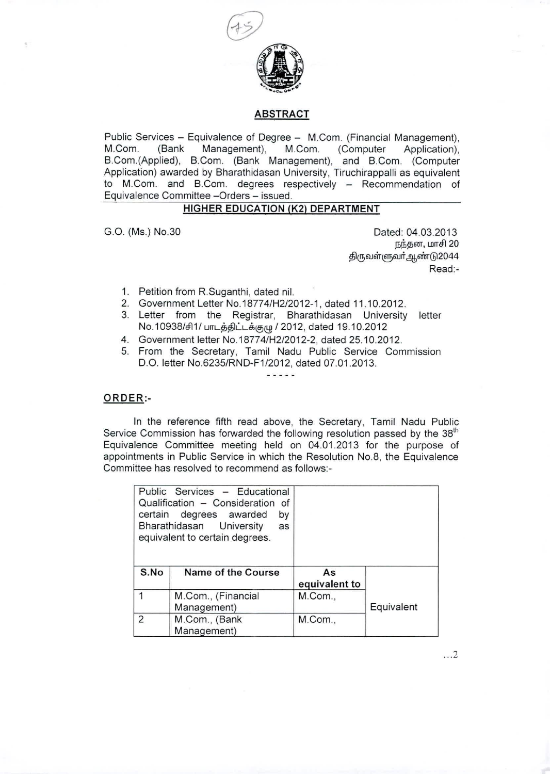

### ABSTRACT

Public Services - Equivalence of Degree - M.Com. (Financial Management), M.Com. (Bank Management), M.Com. (Computer Application), B.Com.(Applied), B.Com. (Bank Management), and B.Com. (Computer Application) awarded by Bharathidasan University, Tiruchirappalli as equivalent to M.Com. and B.Com. degrees respectively - Recommendation of Equivalence Committee -Orders - issued.

# HIGHER EDUCATION (K2) DEPARTMENT

G.O. (Ms.) NO.30 Dated: 04.03.2013 நந்தன, மாசி 20 திருவள்ளுவா்ஆண்டு2044 Read:-

- 1. Petition from R.Suganthi, dated nil.
- 2. Government Letter NO.18774/H2/2012-1, dated 11.10.2012.
- 3. Letter from the Registrar, Bharathidasan University letter No.10938/சி1/ பாடத்திட்டக்குழு / 2012, dated 19.10.2012
- 4. Government letter NO.18774/H2/2012-2, dated 25.10.2012.
- 5. From the Secretary, Tamil Nadu Public Service Commission D.O. letter NO.6235/RND-F1/2012, dated 07.01.2013.  $- - - - -$

#### ORDER:-

In the reference fifth read above, the Secretary, Tamil Nadu Public Service Commission has forwarded the following resolution passed by the 38<sup>th</sup> Equivalence Committee meeting held on 04.01.2013 for the purpose of appointments in Public Service in which the Resolution NO.8, the Equivalence Committee has resolved to recommend as follows:-

|                | Public Services - Educational<br>Qualification - Consideration of<br>certain degrees awarded<br>by<br>Bharathidasan University<br>as<br>equivalent to certain degrees. |                     |            |
|----------------|------------------------------------------------------------------------------------------------------------------------------------------------------------------------|---------------------|------------|
| S.No           | Name of the Course                                                                                                                                                     | As<br>equivalent to |            |
|                | M.Com., (Financial<br>Management)                                                                                                                                      | M.Com.,             | Equivalent |
| $\overline{2}$ | M.Com., (Bank<br>Management)                                                                                                                                           | M.Com.,             |            |

... 2